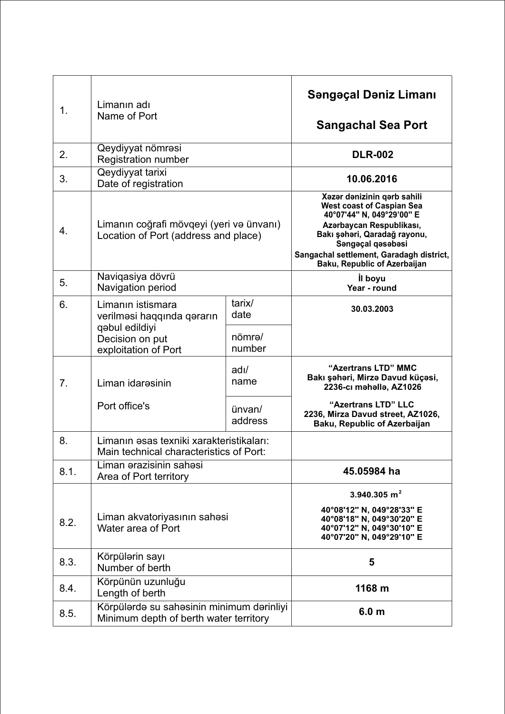| 1.   | Limanın adı<br>Name of Port                                                         |                         | Səngəçal Dəniz Limanı<br><b>Sangachal Sea Port</b>                                                                                                                                                                                                        |
|------|-------------------------------------------------------------------------------------|-------------------------|-----------------------------------------------------------------------------------------------------------------------------------------------------------------------------------------------------------------------------------------------------------|
| 2.   | Qeydiyyat nömrəsi<br><b>Registration number</b>                                     |                         | <b>DLR-002</b>                                                                                                                                                                                                                                            |
| 3.   | Qeydiyyat tarixi<br>Date of registration                                            |                         | 10.06.2016                                                                                                                                                                                                                                                |
| 4.   | Limanın coğrafi mövqeyi (yeri və ünvanı)<br>Location of Port (address and place)    |                         | Xazar danizinin qarb sahili<br><b>West coast of Caspian Sea</b><br>40°07'44" N, 049°29'00" E<br>Azərbaycan Respublikası,<br>Bakı şəhəri, Qaradağ rayonu,<br>Sangaçal qasabasi<br>Sangachal settlement, Garadagh district,<br>Baku, Republic of Azerbaijan |
| 5.   | Naviqasiya dövrü<br>Navigation period                                               |                         | <b>il</b> boyu<br>Year - round                                                                                                                                                                                                                            |
| 6.   | Limanın istismara<br>verilməsi haqqında qərarın<br>qəbul edildiyi                   | tarix/<br>date          | 30.03.2003                                                                                                                                                                                                                                                |
|      | Decision on put<br>exploitation of Port                                             | nömrə/<br>number        |                                                                                                                                                                                                                                                           |
| 7.   | Liman idaresinin                                                                    | $\frac{adI}{a}$<br>name | "Azertrans LTD" MMC<br>Bakı şəhəri, Mirzə Davud küçəsi,<br>2236-cı məhəllə, AZ1026                                                                                                                                                                        |
|      | Port office's                                                                       | ünvan/<br>address       | "Azertrans LTD" LLC<br>2236, Mirza Davud street, AZ1026,<br><b>Baku, Republic of Azerbaijan</b>                                                                                                                                                           |
| 8.   | Limanın əsas texniki xarakteristikaları:<br>Main technical characteristics of Port: |                         |                                                                                                                                                                                                                                                           |
| 8.1. | Liman ərazisinin sahəsi<br>Area of Port territory                                   |                         | 45.05984 ha                                                                                                                                                                                                                                               |
| 8.2. | Liman akvatoriyasının sahəsi<br>Water area of Port                                  |                         | 3.940.305 $m2$<br>40°08'12" N, 049°28'33" E<br>40°08'18" N, 049°30'20" E<br>40°07'12" N, 049°30'10" E<br>40°07'20" N, 049°29'10" E                                                                                                                        |
| 8.3. | Körpülərin sayı<br>Number of berth                                                  |                         | 5                                                                                                                                                                                                                                                         |
| 8.4. | Körpünün uzunluğu<br>Length of berth                                                |                         | 1168 m                                                                                                                                                                                                                                                    |
| 8.5. | Körpülərdə su sahəsinin minimum dərinliyi<br>Minimum depth of berth water territory |                         | 6.0 <sub>m</sub>                                                                                                                                                                                                                                          |